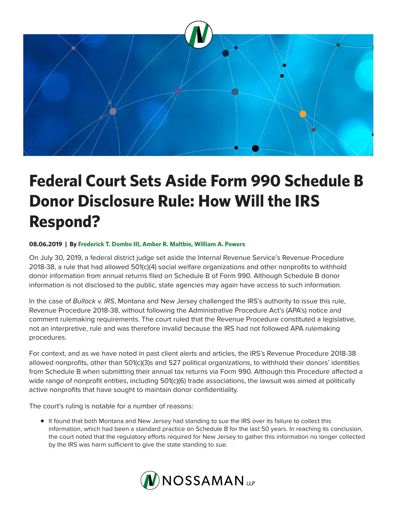

## **Federal Court Sets Aside Form 990 Schedule B Donor Disclosure Rule: How Will the IRS Respond?**

## **08.06.2019 | By Frederick T. Dombo III, Amber R. Maltbie, William A. Powers**

On July 30, 2019, a federal district judge set aside the Internal Revenue Service's Revenue Procedure 2018-38, a rule that had allowed 501(c)(4) social welfare organizations and other nonprofits to withhold donor information from annual returns filed on Schedule B of Form 990. Although Schedule B donor information is not disclosed to the public, state agencies may again have access to such information.

In the case of *Bullock v. IRS*, Montana and New Jersey challenged the IRS's authority to issue this rule, Revenue Procedure 2018-38, without following the Administrative Procedure Act's (APA's) notice and comment rulemaking requirements. The court ruled that the Revenue Procedure constituted a legislative, not an interpretive, rule and was therefore invalid because the IRS had not followed APA rulemaking procedures.

For context, and as we have noted in past client alerts and articles, the IRS's Revenue Procedure 2018-38 allowed nonprofits, other than 501(c)(3)s and 527 political organizations, to withhold their donors' identities from Schedule B when submitting their annual tax returns via Form 990. Although this Procedure affected a wide range of nonprofit entities, including 501(c)(6) trade associations, the lawsuit was aimed at politically active nonprofits that have sought to maintain donor confidentiality.

The court's ruling is notable for a number of reasons:

● It found that both Montana and New Jersey had standing to sue the IRS over its failure to collect this information, which had been a standard practice on Schedule B for the last 50 years. In reaching its conclusion, the court noted that the regulatory efforts required for New Jersey to gather this information no longer collected by the IRS was harm sufficient to give the state standing to sue.